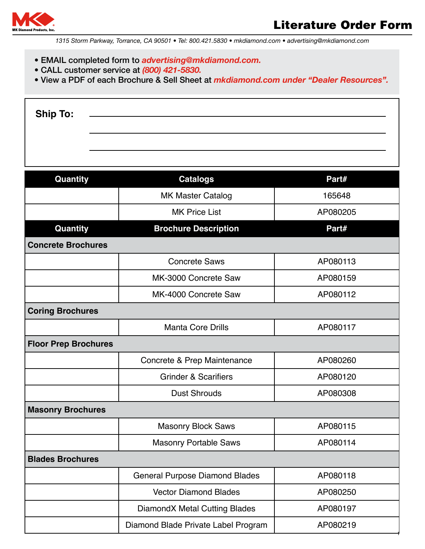

- EMAIL completed form to *advertising@mkdiamond.com.*
- CALL customer service at *(800) 421-5830.*
- View a PDF of each Brochure & Sell Sheet at *mkdiamond.com under "Dealer Resources".*

| <b>Ship To:</b> |  |
|-----------------|--|
|                 |  |

| Quantity                    | <b>Catalogs</b>                       | Part#    |  |
|-----------------------------|---------------------------------------|----------|--|
|                             | <b>MK Master Catalog</b>              | 165648   |  |
|                             | <b>MK Price List</b>                  | AP080205 |  |
| Quantity                    | <b>Brochure Description</b>           | Part#    |  |
| <b>Concrete Brochures</b>   |                                       |          |  |
|                             | <b>Concrete Saws</b>                  | AP080113 |  |
|                             | MK-3000 Concrete Saw                  | AP080159 |  |
|                             | MK-4000 Concrete Saw                  | AP080112 |  |
| <b>Coring Brochures</b>     |                                       |          |  |
|                             | <b>Manta Core Drills</b>              | AP080117 |  |
| <b>Floor Prep Brochures</b> |                                       |          |  |
|                             | Concrete & Prep Maintenance           | AP080260 |  |
|                             | <b>Grinder &amp; Scarifiers</b>       | AP080120 |  |
|                             | <b>Dust Shrouds</b>                   | AP080308 |  |
| <b>Masonry Brochures</b>    |                                       |          |  |
|                             | <b>Masonry Block Saws</b>             | AP080115 |  |
|                             | <b>Masonry Portable Saws</b>          | AP080114 |  |
| <b>Blades Brochures</b>     |                                       |          |  |
|                             | <b>General Purpose Diamond Blades</b> | AP080118 |  |
|                             | <b>Vector Diamond Blades</b>          | AP080250 |  |
|                             | DiamondX Metal Cutting Blades         | AP080197 |  |
|                             | Diamond Blade Private Label Program   | AP080219 |  |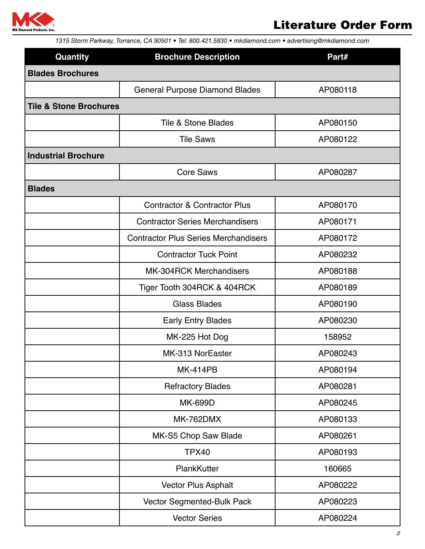

| Quantity                          | <b>Brochure Description</b>                 | Part#    |
|-----------------------------------|---------------------------------------------|----------|
| <b>Blades Brochures</b>           |                                             |          |
|                                   | <b>General Purpose Diamond Blades</b>       | AP080118 |
| <b>Tile &amp; Stone Brochures</b> |                                             |          |
|                                   | <b>Tile &amp; Stone Blades</b>              | AP080150 |
|                                   | <b>Tile Saws</b>                            | AP080122 |
| <b>Industrial Brochure</b>        |                                             |          |
|                                   | <b>Core Saws</b>                            | AP080287 |
| <b>Blades</b>                     |                                             |          |
|                                   | <b>Contractor &amp; Contractor Plus</b>     | AP080170 |
|                                   | <b>Contractor Series Merchandisers</b>      | AP080171 |
|                                   | <b>Contractor Plus Series Merchandisers</b> | AP080172 |
|                                   | <b>Contractor Tuck Point</b>                | AP080232 |
|                                   | <b>MK-304RCK Merchandisers</b>              | AP080188 |
|                                   | Tiger Tooth 304RCK & 404RCK                 | AP080189 |
|                                   | <b>Glass Blades</b>                         | AP080190 |
|                                   | <b>Early Entry Blades</b>                   | AP080230 |
|                                   | MK-225 Hot Dog                              | 158952   |
|                                   | MK-313 NorEaster                            | AP080243 |
|                                   | <b>MK-414PB</b>                             | AP080194 |
|                                   | <b>Refractory Blades</b>                    | AP080281 |
|                                   | <b>MK-699D</b>                              | AP080245 |
|                                   | <b>MK-762DMX</b>                            | AP080133 |
|                                   | MK-S5 Chop Saw Blade                        | AP080261 |
|                                   | <b>TPX40</b>                                | AP080193 |
|                                   | PlankKutter                                 | 160665   |
|                                   | Vector Plus Asphalt                         | AP080222 |
|                                   | Vector Segmented-Bulk Pack                  | AP080223 |
|                                   | <b>Vector Series</b>                        | AP080224 |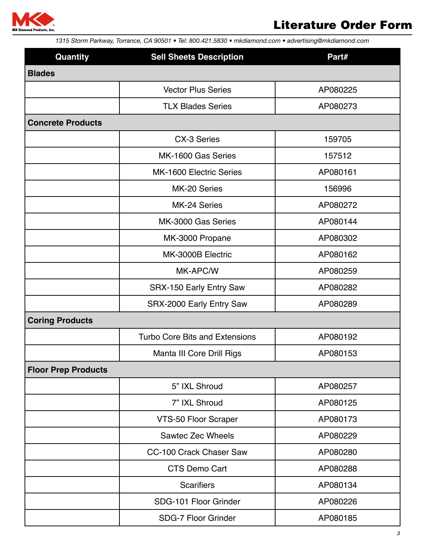

| Quantity                   | <b>Sell Sheets Description</b>        | Part#    |
|----------------------------|---------------------------------------|----------|
| <b>Blades</b>              |                                       |          |
|                            | <b>Vector Plus Series</b>             | AP080225 |
|                            | <b>TLX Blades Series</b>              | AP080273 |
| <b>Concrete Products</b>   |                                       |          |
|                            | CX-3 Series                           | 159705   |
|                            | MK-1600 Gas Series                    | 157512   |
|                            | <b>MK-1600 Electric Series</b>        | AP080161 |
|                            | MK-20 Series                          | 156996   |
|                            | MK-24 Series                          | AP080272 |
|                            | MK-3000 Gas Series                    | AP080144 |
|                            | MK-3000 Propane                       | AP080302 |
|                            | MK-3000B Electric                     | AP080162 |
|                            | MK-APC/W                              | AP080259 |
|                            | SRX-150 Early Entry Saw               | AP080282 |
|                            | SRX-2000 Early Entry Saw              | AP080289 |
| <b>Coring Products</b>     |                                       |          |
|                            | <b>Turbo Core Bits and Extensions</b> | AP080192 |
|                            | Manta III Core Drill Rigs             | AP080153 |
| <b>Floor Prep Products</b> |                                       |          |
|                            | 5" IXL Shroud                         | AP080257 |
|                            | 7" IXL Shroud                         | AP080125 |
|                            | VTS-50 Floor Scraper                  | AP080173 |
|                            | Sawtec Zec Wheels                     | AP080229 |
|                            | CC-100 Crack Chaser Saw               | AP080280 |
|                            | <b>CTS Demo Cart</b>                  | AP080288 |
|                            | <b>Scarifiers</b>                     | AP080134 |
|                            | SDG-101 Floor Grinder                 | AP080226 |
|                            | <b>SDG-7 Floor Grinder</b>            | AP080185 |